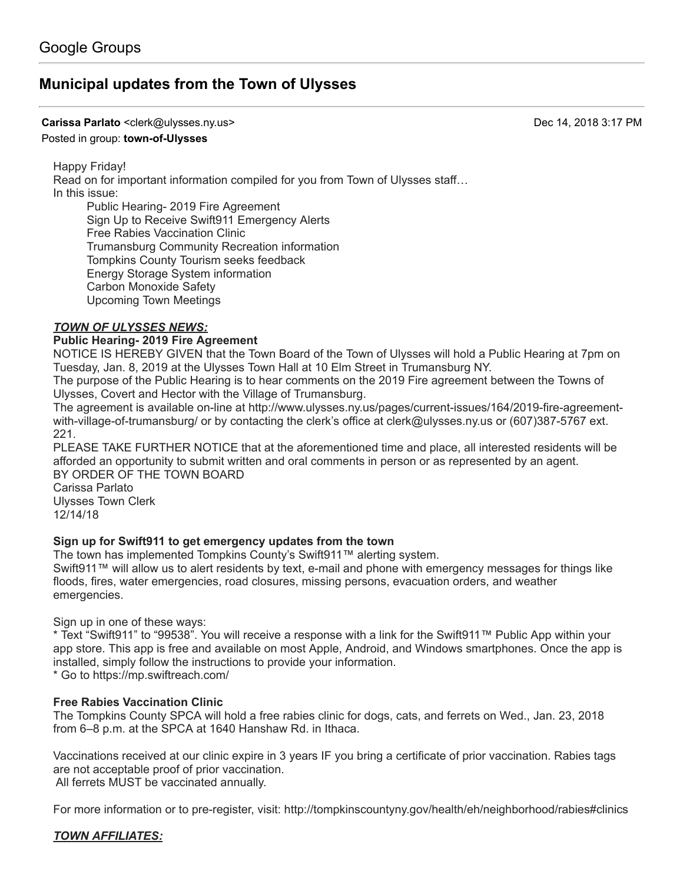# **[Municipal updates from the Town of Ulysses](https://groups.google.com/d/topic/town-of-ulysses/8wrw-RTcsWM)**

#### **Carissa Parlato** <clerk@ulysses.ny.us> Dec 14, 2018 3:17 PM

#### Posted in group: **[town-of-Ulysses](https://groups.google.com/d/forum/town-of-ulysses)**

Happy Friday!

Read on for important information compiled for you from Town of Ulysses staff… In this issue:

Public Hearing- 2019 Fire Agreement Sign Up to Receive Swift911 Emergency Alerts Free Rabies Vaccination Clinic Trumansburg Community Recreation information Tompkins County Tourism seeks feedback Energy Storage System information Carbon Monoxide Safety Upcoming Town Meetings

### *TOWN OF ULYSSES NEWS:*

### **Public Hearing- 2019 Fire Agreement**

NOTICE IS HEREBY GIVEN that the Town Board of the Town of Ulysses will hold a Public Hearing at 7pm on Tuesday, Jan. 8, 2019 at the Ulysses Town Hall at 10 Elm Street in Trumansburg NY.

The purpose of the Public Hearing is to hear comments on the 2019 Fire agreement between the Towns of Ulysses, Covert and Hector with the Village of Trumansburg.

[The agreement is available on-line at http://www.ulysses.ny.us/pages/current-issues/164/2019-fire-agreement](http://www.ulysses.ny.us/pages/current-issues/164/2019-fire-agreement-with-village-of-trumansburg/)with-village-of-trumansburg/ or by contacting the clerk's office at [clerk@ulysses.ny.us](mailto:clerk@ulysses.ny.us) or (607)387-5767 ext. 221.

PLEASE TAKE FURTHER NOTICE that at the aforementioned time and place, all interested residents will be afforded an opportunity to submit written and oral comments in person or as represented by an agent. BY ORDER OF THE TOWN BOARD

Carissa Parlato Ulysses Town Clerk 12/14/18

### **Sign up for Swift911 to get emergency updates from the town**

The town has implemented Tompkins County's Swift911™ alerting system.

Swift911™ will allow us to alert residents by text, e-mail and phone with emergency messages for things like floods, fires, water emergencies, road closures, missing persons, evacuation orders, and weather emergencies.

Sign up in one of these ways:

\* Text "Swift911" to "99538". You will receive a response with a link for the Swift911™ Public App within your app store. This app is free and available on most Apple, Android, and Windows smartphones. Once the app is installed, simply follow the instructions to provide your information.

\* Go to<https://mp.swiftreach.com/>

### **Free Rabies Vaccination Clinic**

The Tompkins County SPCA will hold a free rabies clinic for dogs, cats, and ferrets on Wed., Jan. 23, 2018 from 6–8 p.m. at the SPCA at 1640 Hanshaw Rd. in Ithaca.

Vaccinations received at our clinic expire in 3 years IF you bring a certificate of prior vaccination. Rabies tags are not acceptable proof of prior vaccination. All ferrets MUST be vaccinated annually.

For more information or to pre-register, visit: <http://tompkinscountyny.gov/health/eh/neighborhood/rabies#clinics>

### *TOWN AFFILIATES:*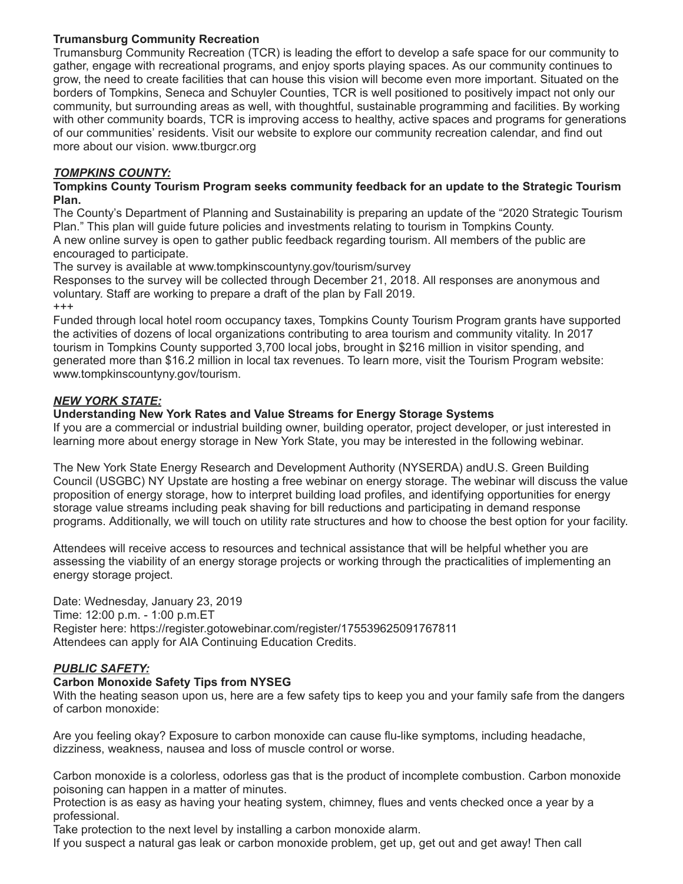# **Trumansburg Community Recreation**

Trumansburg Community Recreation (TCR) is leading the effort to develop a safe space for our community to gather, engage with recreational programs, and enjoy sports playing spaces. As our community continues to grow, the need to create facilities that can house this vision will become even more important. Situated on the borders of Tompkins, Seneca and Schuyler Counties, TCR is well positioned to positively impact not only our community, but surrounding areas as well, with thoughtful, sustainable programming and facilities. By working with other community boards, TCR is improving access to healthy, active spaces and programs for generations of our communities' residents. Visit our website to explore our community recreation calendar, and find out more about our vision. [www.tburgcr.org](http://www.tburgcr.org/)

## *TOMPKINS COUNTY:*

### **Tompkins County Tourism Program seeks community feedback for an update to the Strategic Tourism Plan.**

The County's Department of Planning and Sustainability is preparing an update of the "2020 Strategic Tourism Plan." This plan will guide future policies and investments relating to tourism in Tompkins County. A new online survey is open to gather public feedback regarding tourism. All members of the public are encouraged to participate.

The survey is available at [www.tompkinscountyny.gov/tourism/survey](http://www.tompkinscountyny.gov/tourism/survey)

Responses to the survey will be collected through December 21, 2018. All responses are anonymous and voluntary. Staff are working to prepare a draft of the plan by Fall 2019.

+++

Funded through local hotel room occupancy taxes, Tompkins County Tourism Program grants have supported the activities of dozens of local organizations contributing to area tourism and community vitality. In 2017 tourism in Tompkins County supported 3,700 local jobs, brought in \$216 million in visitor spending, and generated more than \$16.2 million in local tax revenues. To learn more, visit the Tourism Program website: [www.tompkinscountyny.gov/tourism.](http://www.tompkinscountyny.gov/tourism.)

# *NEW YORK STATE:*

### **Understanding New York Rates and Value Streams for Energy Storage Systems**

If you are a commercial or industrial building owner, building operator, project developer, or just interested in learning more about energy storage in New York State, you may be interested in the following webinar.

The New York State Energy Research and Development Authority (NYSERDA) andU.S. Green Building Council (USGBC) NY Upstate are hosting a free webinar on energy storage. The webinar will discuss the value proposition of energy storage, how to interpret building load profiles, and identifying opportunities for energy storage value streams including peak shaving for bill reductions and participating in demand response programs. Additionally, we will touch on utility rate structures and how to choose the best option for your facility.

Attendees will receive access to resources and technical assistance that will be helpful whether you are assessing the viability of an energy storage projects or working through the practicalities of implementing an energy storage project.

Date: Wednesday, January 23, 2019 Time: 12:00 p.m. - 1:00 [p.m.ET](http://p.m.et/) Register here: <https://register.gotowebinar.com/register/175539625091767811> Attendees can apply for AIA Continuing Education Credits.

# *PUBLIC SAFETY:*

# **Carbon Monoxide Safety Tips from NYSEG**

With the heating season upon us, here are a few safety tips to keep you and your family safe from the dangers of carbon monoxide:

Are you feeling okay? Exposure to carbon monoxide can cause flu-like symptoms, including headache, dizziness, weakness, nausea and loss of muscle control or worse.

Carbon monoxide is a colorless, odorless gas that is the product of incomplete combustion. Carbon monoxide poisoning can happen in a matter of minutes.

Protection is as easy as having your heating system, chimney, flues and vents checked once a year by a professional.

Take protection to the next level by installing a carbon monoxide alarm.

If you suspect a natural gas leak or carbon monoxide problem, get up, get out and get away! Then call